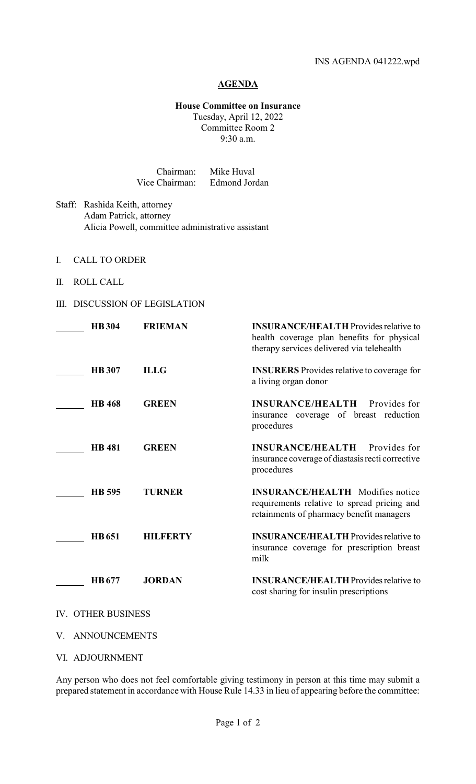## **AGENDA**

## **House Committee on Insurance**

Tuesday, April 12, 2022 Committee Room 2 9:30 a.m.

| Chairman:      | Mike Huval    |
|----------------|---------------|
| Vice Chairman: | Edmond Jordan |

- Staff: Rashida Keith, attorney Adam Patrick, attorney Alicia Powell, committee administrative assistant
- I. CALL TO ORDER
- II. ROLL CALL

## III. DISCUSSION OF LEGISLATION

| <b>HB304</b>                  | <b>FRIEMAN</b>  | <b>INSURANCE/HEALTH</b> Provides relative to<br>health coverage plan benefits for physical<br>therapy services delivered via telehealth |
|-------------------------------|-----------------|-----------------------------------------------------------------------------------------------------------------------------------------|
| <b>HB</b> 307                 | <b>ILLG</b>     | <b>INSURERS</b> Provides relative to coverage for<br>a living organ donor                                                               |
| <b>HB</b> 468                 | <b>GREEN</b>    | <b>INSURANCE/HEALTH</b><br>Provides for<br>insurance coverage of breast reduction<br>procedures                                         |
| <b>HB</b> 481                 | <b>GREEN</b>    | <b>INSURANCE/HEALTH</b><br>Provides for<br>insurance coverage of diastasis recti corrective<br>procedures                               |
| HB 595                        | <b>TURNER</b>   | <b>INSURANCE/HEALTH</b> Modifies notice<br>requirements relative to spread pricing and<br>retainments of pharmacy benefit managers      |
| <b>HB</b> 651                 | <b>HILFERTY</b> | <b>INSURANCE/HEALTH Provides relative to</b><br>insurance coverage for prescription breast<br>milk                                      |
| HB 677                        | <b>JORDAN</b>   | <b>INSURANCE/HEALTH</b> Provides relative to<br>cost sharing for insulin prescriptions                                                  |
| <b>IV. OTHER BUSINESS</b>     |                 |                                                                                                                                         |
| <b>IL AMBIOIDIQUE (EMIRO)</b> |                 |                                                                                                                                         |

- V. ANNOUNCEMENTS
- VI. ADJOURNMENT

Any person who does not feel comfortable giving testimony in person at this time may submit a prepared statement in accordance with House Rule 14.33 in lieu of appearing before the committee: